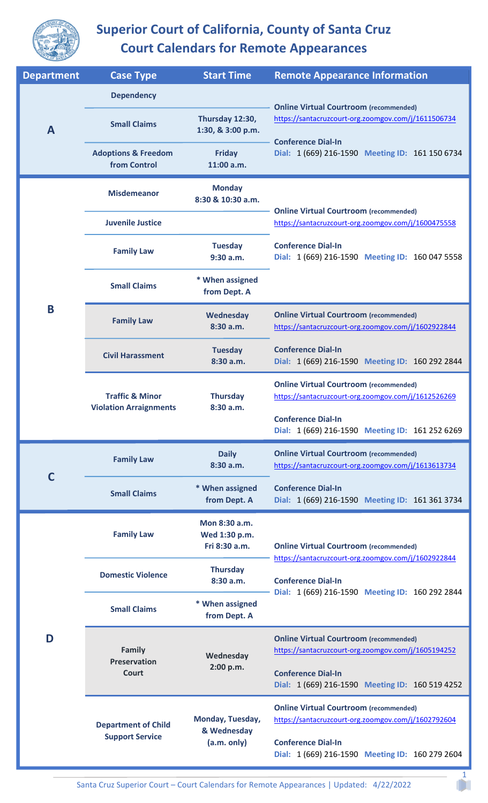

## **Superior Court of California, County of Santa Cruz Court Calendars for Remote Appearances**

| <b>Department</b> | <b>Case Type</b>                                            | <b>Start Time</b>                               | <b>Remote Appearance Information</b>                                                                 |
|-------------------|-------------------------------------------------------------|-------------------------------------------------|------------------------------------------------------------------------------------------------------|
| A                 | <b>Dependency</b>                                           |                                                 |                                                                                                      |
|                   | <b>Small Claims</b>                                         | Thursday 12:30,<br>1:30, & 3:00 p.m.            | <b>Online Virtual Courtroom (recommended)</b><br>https://santacruzcourt-org.zoomgov.com/j/1611506734 |
|                   | <b>Adoptions &amp; Freedom</b><br>from Control              | <b>Friday</b><br>11:00 a.m.                     | <b>Conference Dial-In</b><br>Dial: 1 (669) 216-1590 Meeting ID: 161 150 6734                         |
| B                 | <b>Misdemeanor</b>                                          | <b>Monday</b><br>8:30 & 10:30 a.m.              | <b>Online Virtual Courtroom (recommended)</b>                                                        |
|                   | <b>Juvenile Justice</b>                                     |                                                 | https://santacruzcourt-org.zoomgov.com/j/1600475558                                                  |
|                   | <b>Family Law</b>                                           | <b>Tuesday</b><br>9:30 a.m.                     | <b>Conference Dial-In</b><br>Dial: 1 (669) 216-1590 Meeting ID: 160 047 5558                         |
|                   | <b>Small Claims</b>                                         | * When assigned<br>from Dept. A                 |                                                                                                      |
|                   | <b>Family Law</b>                                           | Wednesday<br>8:30 a.m.                          | <b>Online Virtual Courtroom (recommended)</b><br>https://santacruzcourt-org.zoomgov.com/j/1602922844 |
|                   | <b>Civil Harassment</b>                                     | <b>Tuesday</b><br>8:30 a.m.                     | <b>Conference Dial-In</b><br>Dial: 1 (669) 216-1590 Meeting ID: 160 292 2844                         |
|                   | <b>Traffic &amp; Minor</b><br><b>Violation Arraignments</b> | <b>Thursday</b><br>8:30 a.m.                    | <b>Online Virtual Courtroom (recommended)</b><br>https://santacruzcourt-org.zoomgov.com/j/1612526269 |
|                   |                                                             |                                                 | <b>Conference Dial-In</b><br>Dial: 1 (669) 216-1590 Meeting ID: 161 252 6269                         |
| C                 | <b>Family Law</b>                                           | <b>Daily</b><br>8:30 a.m.                       | <b>Online Virtual Courtroom (recommended)</b><br>https://santacruzcourt-org.zoomgov.com/j/1613613734 |
|                   | <b>Small Claims</b>                                         | * When assigned<br>from Dept. A                 | <b>Conference Dial-In</b><br>Dial: 1 (669) 216-1590 Meeting ID: 161 361 3734                         |
| D                 | <b>Family Law</b>                                           | Mon 8:30 a.m.<br>Wed 1:30 p.m.<br>Fri 8:30 a.m. | <b>Online Virtual Courtroom (recommended)</b>                                                        |
|                   | <b>Domestic Violence</b>                                    | <b>Thursday</b><br>8:30 a.m.                    | https://santacruzcourt-org.zoomgov.com/j/1602922844<br><b>Conference Dial-In</b>                     |
|                   | <b>Small Claims</b>                                         | * When assigned<br>from Dept. A                 | Dial: 1 (669) 216-1590 Meeting ID: 160 292 2844                                                      |
|                   | Family<br><b>Preservation</b><br>Court                      | Wednesday<br>2:00 p.m.                          | <b>Online Virtual Courtroom (recommended)</b><br>https://santacruzcourt-org.zoomgov.com/j/1605194252 |
|                   |                                                             |                                                 | <b>Conference Dial-In</b><br>Dial: 1 (669) 216-1590 Meeting ID: 160 519 4252                         |
|                   | <b>Department of Child</b><br><b>Support Service</b>        | Monday, Tuesday,<br>& Wednesday                 | <b>Online Virtual Courtroom (recommended)</b><br>https://santacruzcourt-org.zoomgov.com/j/1602792604 |
|                   |                                                             | (a.m. only)                                     | <b>Conference Dial-In</b><br>Dial: 1 (669) 216-1590 Meeting ID: 160 279 2604                         |

1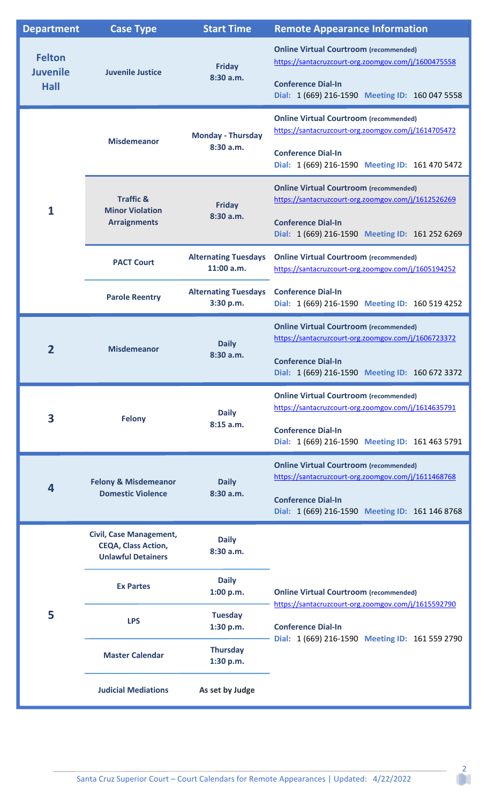| <b>Department</b>                               | <b>Case Type</b>                                                                          | <b>Start Time</b>                         | <b>Remote Appearance Information</b>                                                                                                                                                 |
|-------------------------------------------------|-------------------------------------------------------------------------------------------|-------------------------------------------|--------------------------------------------------------------------------------------------------------------------------------------------------------------------------------------|
| <b>Felton</b><br><b>Juvenile</b><br><b>Hall</b> | <b>Juvenile Justice</b>                                                                   | <b>Friday</b><br>8:30 a.m.                | <b>Online Virtual Courtroom (recommended)</b><br>https://santacruzcourt-org.zoomgov.com/j/1600475558<br><b>Conference Dial-In</b><br>Dial: 1 (669) 216-1590 Meeting ID: 160 047 5558 |
| 1                                               | <b>Misdemeanor</b>                                                                        | <b>Monday - Thursday</b><br>8:30 a.m.     | <b>Online Virtual Courtroom (recommended)</b><br>https://santacruzcourt-org.zoomgov.com/j/1614705472<br><b>Conference Dial-In</b><br>Dial: 1 (669) 216-1590 Meeting ID: 161 470 5472 |
|                                                 | <b>Traffic &amp;</b><br><b>Minor Violation</b><br><b>Arraignments</b>                     | <b>Friday</b><br>8:30 a.m.                | <b>Online Virtual Courtroom (recommended)</b><br>https://santacruzcourt-org.zoomgov.com/j/1612526269<br><b>Conference Dial-In</b><br>Dial: 1 (669) 216-1590 Meeting ID: 161 252 6269 |
|                                                 | <b>PACT Court</b>                                                                         | <b>Alternating Tuesdays</b><br>11:00 a.m. | <b>Online Virtual Courtroom (recommended)</b><br>https://santacruzcourt-org.zoomgov.com/j/1605194252                                                                                 |
|                                                 | <b>Parole Reentry</b>                                                                     | <b>Alternating Tuesdays</b><br>3:30 p.m.  | <b>Conference Dial-In</b><br>Dial: 1 (669) 216-1590 Meeting ID: 160 519 4252                                                                                                         |
| $\overline{2}$                                  | <b>Misdemeanor</b>                                                                        | <b>Daily</b><br>8:30a.m.                  | <b>Online Virtual Courtroom (recommended)</b><br>https://santacruzcourt-org.zoomgov.com/j/1606723372<br><b>Conference Dial-In</b>                                                    |
|                                                 |                                                                                           |                                           | Dial: 1 (669) 216-1590 Meeting ID: 160 672 3372                                                                                                                                      |
| 3                                               | <b>Felony</b>                                                                             | <b>Daily</b><br>8:15a.m.                  | <b>Online Virtual Courtroom (recommended)</b><br>https://santacruzcourt-org.zoomgov.com/j/1614635791<br><b>Conference Dial-In</b><br>Dial: 1 (669) 216-1590 Meeting ID: 161 463 5791 |
| $\overline{\mathbf{A}}$                         | <b>Felony &amp; Misdemeanor</b><br><b>Domestic Violence</b>                               | <b>Daily</b><br>8:30a.m.                  | <b>Online Virtual Courtroom (recommended)</b><br>https://santacruzcourt-org.zoomgov.com/j/1611468768<br><b>Conference Dial-In</b><br>Dial: 1 (669) 216-1590 Meeting ID: 161 146 8768 |
| 5                                               | <b>Civil, Case Management,</b><br><b>CEQA, Class Action,</b><br><b>Unlawful Detainers</b> | <b>Daily</b><br>8:30a.m.                  | <b>Online Virtual Courtroom (recommended)</b><br>https://santacruzcourt-org.zoomgov.com/j/1615592790<br><b>Conference Dial-In</b><br>Dial: 1 (669) 216-1590 Meeting ID: 161 559 2790 |
|                                                 | <b>Ex Partes</b>                                                                          | <b>Daily</b><br>1:00 p.m.                 |                                                                                                                                                                                      |
|                                                 | <b>LPS</b>                                                                                | <b>Tuesday</b><br>1:30 p.m.               |                                                                                                                                                                                      |
|                                                 | <b>Master Calendar</b>                                                                    | <b>Thursday</b><br>1:30 p.m.              |                                                                                                                                                                                      |
|                                                 | <b>Judicial Mediations</b>                                                                | As set by Judge                           |                                                                                                                                                                                      |

**2**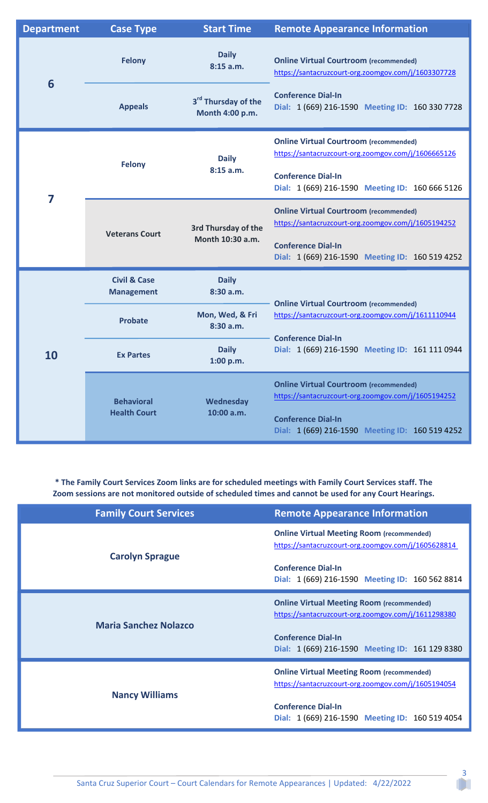| <b>Department</b> | <b>Case Type</b>                             | <b>Start Time</b>                                  | <b>Remote Appearance Information</b>                                                                                                                                                 |
|-------------------|----------------------------------------------|----------------------------------------------------|--------------------------------------------------------------------------------------------------------------------------------------------------------------------------------------|
| 6                 | <b>Felony</b>                                | <b>Daily</b><br>8:15 a.m.                          | <b>Online Virtual Courtroom (recommended)</b><br>https://santacruzcourt-org.zoomgov.com/j/1603307728                                                                                 |
|                   | <b>Appeals</b>                               | 3 <sup>rd</sup> Thursday of the<br>Month 4:00 p.m. | <b>Conference Dial-In</b><br>Dial: 1 (669) 216-1590 Meeting ID: 160 330 7728                                                                                                         |
| 7                 | <b>Felony</b>                                | <b>Daily</b><br>$8:15$ a.m.                        | <b>Online Virtual Courtroom (recommended)</b><br>https://santacruzcourt-org.zoomgov.com/j/1606665126                                                                                 |
|                   |                                              |                                                    | <b>Conference Dial-In</b><br>Dial: 1 (669) 216-1590 Meeting ID: 160 666 5126                                                                                                         |
|                   | <b>Veterans Court</b>                        | <b>3rd Thursday of the</b><br>Month 10:30 a.m.     | <b>Online Virtual Courtroom (recommended)</b><br>https://santacruzcourt-org.zoomgov.com/j/1605194252                                                                                 |
|                   |                                              |                                                    | <b>Conference Dial-In</b><br>Dial: 1 (669) 216-1590 Meeting ID: 160 519 4252                                                                                                         |
| <b>10</b>         | <b>Civil &amp; Case</b><br><b>Management</b> | <b>Daily</b><br>8:30 a.m.                          | <b>Online Virtual Courtroom (recommended)</b><br>https://santacruzcourt-org.zoomgov.com/j/1611110944<br><b>Conference Dial-In</b><br>Dial: 1 (669) 216-1590 Meeting ID: 161 111 0944 |
|                   | <b>Probate</b>                               | Mon, Wed, & Fri<br>8:30 a.m.                       |                                                                                                                                                                                      |
|                   | <b>Ex Partes</b>                             | <b>Daily</b><br>1:00 p.m.                          |                                                                                                                                                                                      |
|                   | <b>Behavioral</b><br><b>Health Court</b>     | Wednesday<br>10:00 a.m.                            | <b>Online Virtual Courtroom (recommended)</b><br>https://santacruzcourt-org.zoomgov.com/j/1605194252                                                                                 |
|                   |                                              |                                                    | <b>Conference Dial-In</b><br>Dial: 1 (669) 216-1590 Meeting ID: 160 519 4252                                                                                                         |

**\* The Family Court Services Zoom links are for scheduled meetings with Family Court Services staff. The Zoom sessions are not monitored outside of scheduled times and cannot be used for any Court Hearings.**

| <b>Family Court Services</b> | <b>Remote Appearance Information</b>                                                                    |
|------------------------------|---------------------------------------------------------------------------------------------------------|
| <b>Carolyn Sprague</b>       | <b>Online Virtual Meeting Room (recommended)</b><br>https://santacruzcourt-org.zoomgov.com/j/1605628814 |
|                              | <b>Conference Dial-In</b><br>Dial: 1 (669) 216-1590 Meeting ID: 160 562 8814                            |
| <b>Maria Sanchez Nolazco</b> | <b>Online Virtual Meeting Room (recommended)</b><br>https://santacruzcourt-org.zoomgov.com/j/1611298380 |
|                              | <b>Conference Dial-In</b><br>Dial: 1 (669) 216-1590 Meeting ID: 161 129 8380                            |
|                              | <b>Online Virtual Meeting Room (recommended)</b><br>https://santacruzcourt-org.zoomgov.com/j/1605194054 |
| <b>Nancy Williams</b>        | <b>Conference Dial-In</b><br>Dial: 1 (669) 216-1590 Meeting ID: 160 519 4054                            |